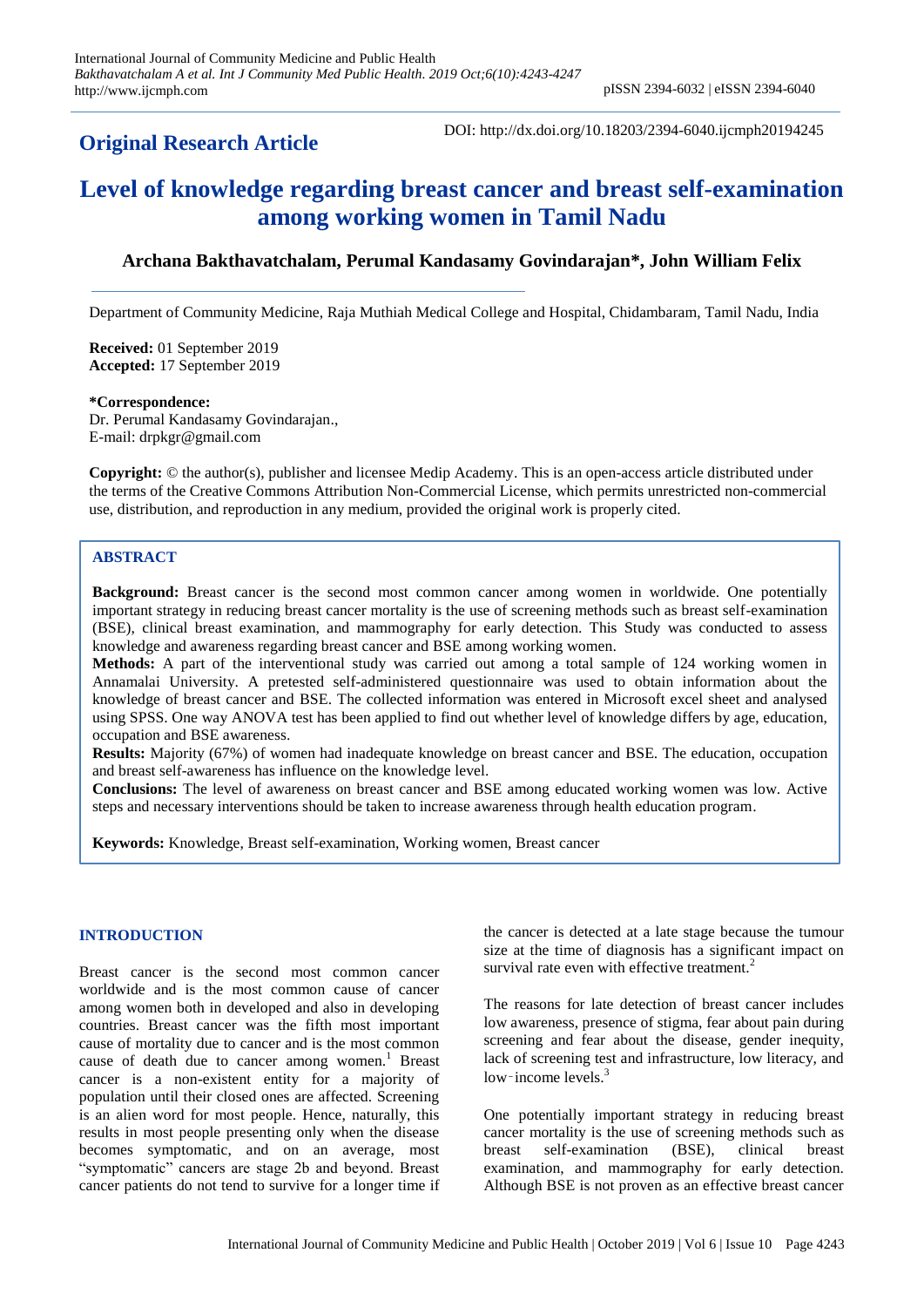# **Original Research Article**

DOI: http://dx.doi.org/10.18203/2394-6040.ijcmph20194245

# **Level of knowledge regarding breast cancer and breast self-examination among working women in Tamil Nadu**

# **Archana Bakthavatchalam, Perumal Kandasamy Govindarajan\*, John William Felix**

Department of Community Medicine, Raja Muthiah Medical College and Hospital, Chidambaram, Tamil Nadu, India

**Received:** 01 September 2019 **Accepted:** 17 September 2019

#### **\*Correspondence:**

Dr. Perumal Kandasamy Govindarajan., E-mail: drpkgr@gmail.com

**Copyright:** © the author(s), publisher and licensee Medip Academy. This is an open-access article distributed under the terms of the Creative Commons Attribution Non-Commercial License, which permits unrestricted non-commercial use, distribution, and reproduction in any medium, provided the original work is properly cited.

# **ABSTRACT**

**Background:** Breast cancer is the second most common cancer among women in worldwide. One potentially important strategy in reducing breast cancer mortality is the use of screening methods such as breast self-examination (BSE), clinical breast examination, and mammography for early detection. This Study was conducted to assess knowledge and awareness regarding breast cancer and BSE among working women.

**Methods:** A part of the interventional study was carried out among a total sample of 124 working women in Annamalai University. A pretested self-administered questionnaire was used to obtain information about the knowledge of breast cancer and BSE. The collected information was entered in Microsoft excel sheet and analysed using SPSS. One way ANOVA test has been applied to find out whether level of knowledge differs by age, education, occupation and BSE awareness.

**Results:** Majority (67%) of women had inadequate knowledge on breast cancer and BSE. The education, occupation and breast self-awareness has influence on the knowledge level.

**Conclusions:** The level of awareness on breast cancer and BSE among educated working women was low. Active steps and necessary interventions should be taken to increase awareness through health education program.

**Keywords:** Knowledge, Breast self-examination, Working women, Breast cancer

# **INTRODUCTION**

Breast cancer is the second most common cancer worldwide and is the most common cause of cancer among women both in developed and also in developing countries. Breast cancer was the fifth most important cause of mortality due to cancer and is the most common cause of death due to cancer among women.<sup>1</sup> Breast cancer is a non-existent entity for a majority of population until their closed ones are affected. Screening is an alien word for most people. Hence, naturally, this results in most people presenting only when the disease becomes symptomatic, and on an average, most "symptomatic" cancers are stage 2b and beyond. Breast cancer patients do not tend to survive for a longer time if the cancer is detected at a late stage because the tumour size at the time of diagnosis has a significant impact on survival rate even with effective treatment.<sup>2</sup>

The reasons for late detection of breast cancer includes low awareness, presence of stigma, fear about pain during screening and fear about the disease, gender inequity, lack of screening test and infrastructure, low literacy, and low–income levels. $3$ 

One potentially important strategy in reducing breast cancer mortality is the use of screening methods such as breast self-examination (BSE), clinical breast examination, and mammography for early detection. Although BSE is not proven as an effective breast cancer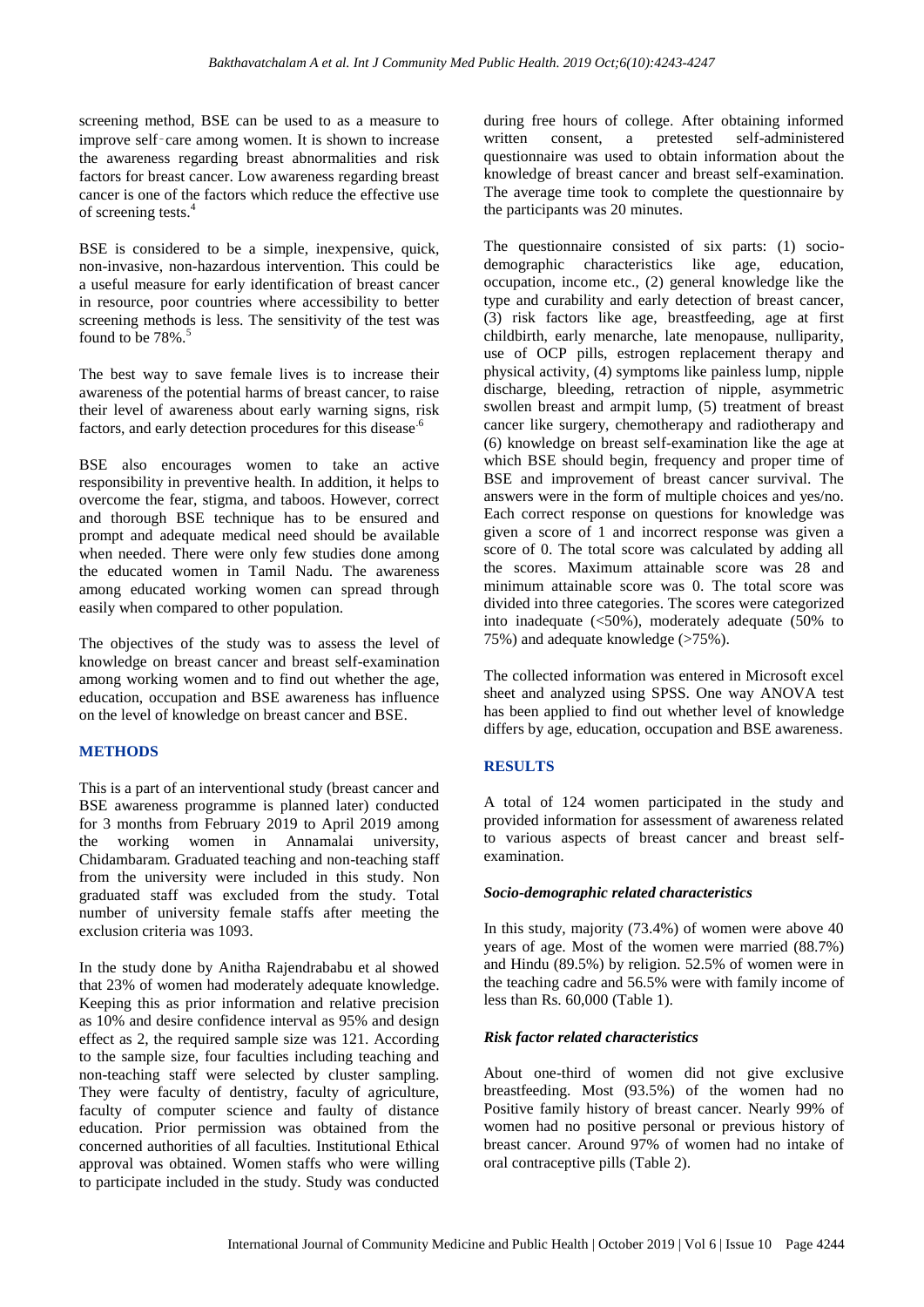screening method, BSE can be used to as a measure to improve self-care among women. It is shown to increase the awareness regarding breast abnormalities and risk factors for breast cancer. Low awareness regarding breast cancer is one of the factors which reduce the effective use of screening tests.<sup>4</sup>

BSE is considered to be a simple, inexpensive, quick, non-invasive, non-hazardous intervention. This could be a useful measure for early identification of breast cancer in resource, poor countries where accessibility to better screening methods is less. The sensitivity of the test was found to be  $78\%$ .<sup>5</sup>

The best way to save female lives is to increase their awareness of the potential harms of breast cancer, to raise their level of awareness about early warning signs, risk factors, and early detection procedures for this disease.<sup>6</sup>

BSE also encourages women to take an active responsibility in preventive health. In addition, it helps to overcome the fear, stigma, and taboos. However, correct and thorough BSE technique has to be ensured and prompt and adequate medical need should be available when needed. There were only few studies done among the educated women in Tamil Nadu. The awareness among educated working women can spread through easily when compared to other population.

The objectives of the study was to assess the level of knowledge on breast cancer and breast self-examination among working women and to find out whether the age, education, occupation and BSE awareness has influence on the level of knowledge on breast cancer and BSE.

# **METHODS**

This is a part of an interventional study (breast cancer and BSE awareness programme is planned later) conducted for 3 months from February 2019 to April 2019 among the working women in Annamalai university, Chidambaram. Graduated teaching and non-teaching staff from the university were included in this study. Non graduated staff was excluded from the study. Total number of university female staffs after meeting the exclusion criteria was 1093.

In the study done by Anitha Rajendrababu et al showed that 23% of women had moderately adequate knowledge. Keeping this as prior information and relative precision as 10% and desire confidence interval as 95% and design effect as 2, the required sample size was 121. According to the sample size, four faculties including teaching and non-teaching staff were selected by cluster sampling. They were faculty of dentistry, faculty of agriculture, faculty of computer science and faulty of distance education. Prior permission was obtained from the concerned authorities of all faculties*.* Institutional Ethical approval was obtained. Women staffs who were willing to participate included in the study. Study was conducted during free hours of college. After obtaining informed written consent, a pretested self-administered questionnaire was used to obtain information about the knowledge of breast cancer and breast self-examination. The average time took to complete the questionnaire by the participants was 20 minutes.

The questionnaire consisted of six parts: (1) sociodemographic characteristics like age, education, occupation, income etc., (2) general knowledge like the type and curability and early detection of breast cancer, (3) risk factors like age, breastfeeding, age at first childbirth, early menarche, late menopause, nulliparity, use of OCP pills, estrogen replacement therapy and physical activity, (4) symptoms like painless lump, nipple discharge, bleeding, retraction of nipple, asymmetric swollen breast and armpit lump, (5) treatment of breast cancer like surgery, chemotherapy and radiotherapy and (6) knowledge on breast self-examination like the age at which BSE should begin, frequency and proper time of BSE and improvement of breast cancer survival. The answers were in the form of multiple choices and yes/no. Each correct response on questions for knowledge was given a score of 1 and incorrect response was given a score of 0. The total score was calculated by adding all the scores. Maximum attainable score was 28 and minimum attainable score was 0. The total score was divided into three categories. The scores were categorized into inadequate  $(<50\%)$ , moderately adequate  $(50\%$  to 75%) and adequate knowledge (>75%).

The collected information was entered in Microsoft excel sheet and analyzed using SPSS. One way ANOVA test has been applied to find out whether level of knowledge differs by age, education, occupation and BSE awareness.

# **RESULTS**

A total of 124 women participated in the study and provided information for assessment of awareness related to various aspects of breast cancer and breast selfexamination.

#### *Socio-demographic related characteristics*

In this study, majority (73.4%) of women were above 40 years of age. Most of the women were married (88.7%) and Hindu (89.5%) by religion. 52.5% of women were in the teaching cadre and 56.5% were with family income of less than Rs. 60,000 (Table 1).

# *Risk factor related characteristics*

About one-third of women did not give exclusive breastfeeding. Most (93.5%) of the women had no Positive family history of breast cancer. Nearly 99% of women had no positive personal or previous history of breast cancer. Around 97% of women had no intake of oral contraceptive pills (Table 2).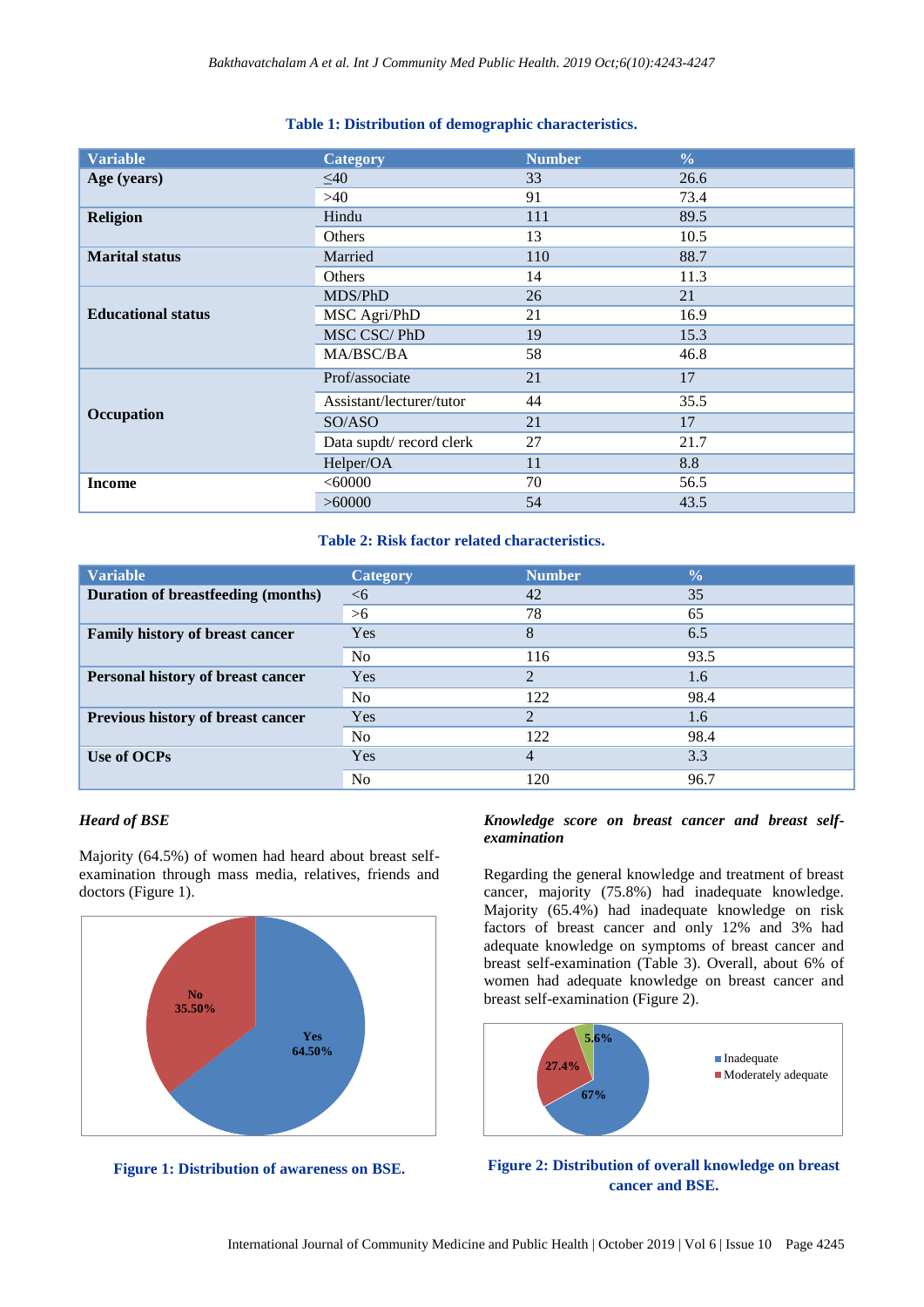# **Table 1: Distribution of demographic characteristics.**

| <b>Variable</b>           | <b>Category</b>          | <b>Number</b> | $\frac{0}{0}$ |
|---------------------------|--------------------------|---------------|---------------|
| Age (years)               | $\leq 40$                | 33            | 26.6          |
|                           | >40                      | 91            | 73.4          |
| <b>Religion</b>           | Hindu                    | 111           | 89.5          |
|                           | Others                   | 13            | 10.5          |
| <b>Marital status</b>     | Married                  | 110           | 88.7          |
|                           | Others                   | 14            | 11.3          |
|                           | MDS/PhD                  | 26            | 21            |
| <b>Educational status</b> | MSC Agri/PhD             | 21            | 16.9          |
|                           | MSC CSC/PhD              | 19            | 15.3          |
|                           | MA/BSC/BA                | 58            | 46.8          |
|                           | Prof/associate           | 21            | 17            |
|                           | Assistant/lecturer/tutor | 44            | 35.5          |
| Occupation                | SO/ASO                   | 21            | 17            |
|                           | Data supdt/record clerk  | 27            | 21.7          |
|                           | Helper/OA                | 11            | 8.8           |
| <b>Income</b>             | <60000                   | 70            | 56.5          |
|                           | >60000                   | 54            | 43.5          |

#### **Table 2: Risk factor related characteristics.**

| <b>Variable</b>                          | <b>Category</b> | <b>Number</b>  | $\frac{0}{0}$ |
|------------------------------------------|-----------------|----------------|---------------|
| Duration of breastfeeding (months)       | $<$ 6           | 42             | 35            |
|                                          | $>6$            | 78             | 65            |
| Family history of breast cancer          | Yes             | 8              | 6.5           |
|                                          | N <sub>o</sub>  | 116            | 93.5          |
| <b>Personal history of breast cancer</b> | <b>Yes</b>      | $\overline{2}$ | 1.6           |
|                                          | N <sub>o</sub>  | 122            | 98.4          |
| Previous history of breast cancer        | Yes             | $\overline{2}$ | 1.6           |
|                                          | N <sub>o</sub>  | 122            | 98.4          |
| Use of OCPs                              | Yes             | 4              | 3.3           |
|                                          | N <sub>0</sub>  | 120            | 96.7          |

# *Heard of BSE*

Majority (64.5%) of women had heard about breast selfexamination through mass media, relatives, friends and doctors (Figure 1).



**Figure 1: Distribution of awareness on BSE.**

#### *Knowledge score on breast cancer and breast selfexamination*

Regarding the general knowledge and treatment of breast cancer, majority (75.8%) had inadequate knowledge. Majority (65.4%) had inadequate knowledge on risk factors of breast cancer and only 12% and 3% had adequate knowledge on symptoms of breast cancer and breast self-examination (Table 3). Overall, about 6% of women had adequate knowledge on breast cancer and breast self-examination (Figure 2).



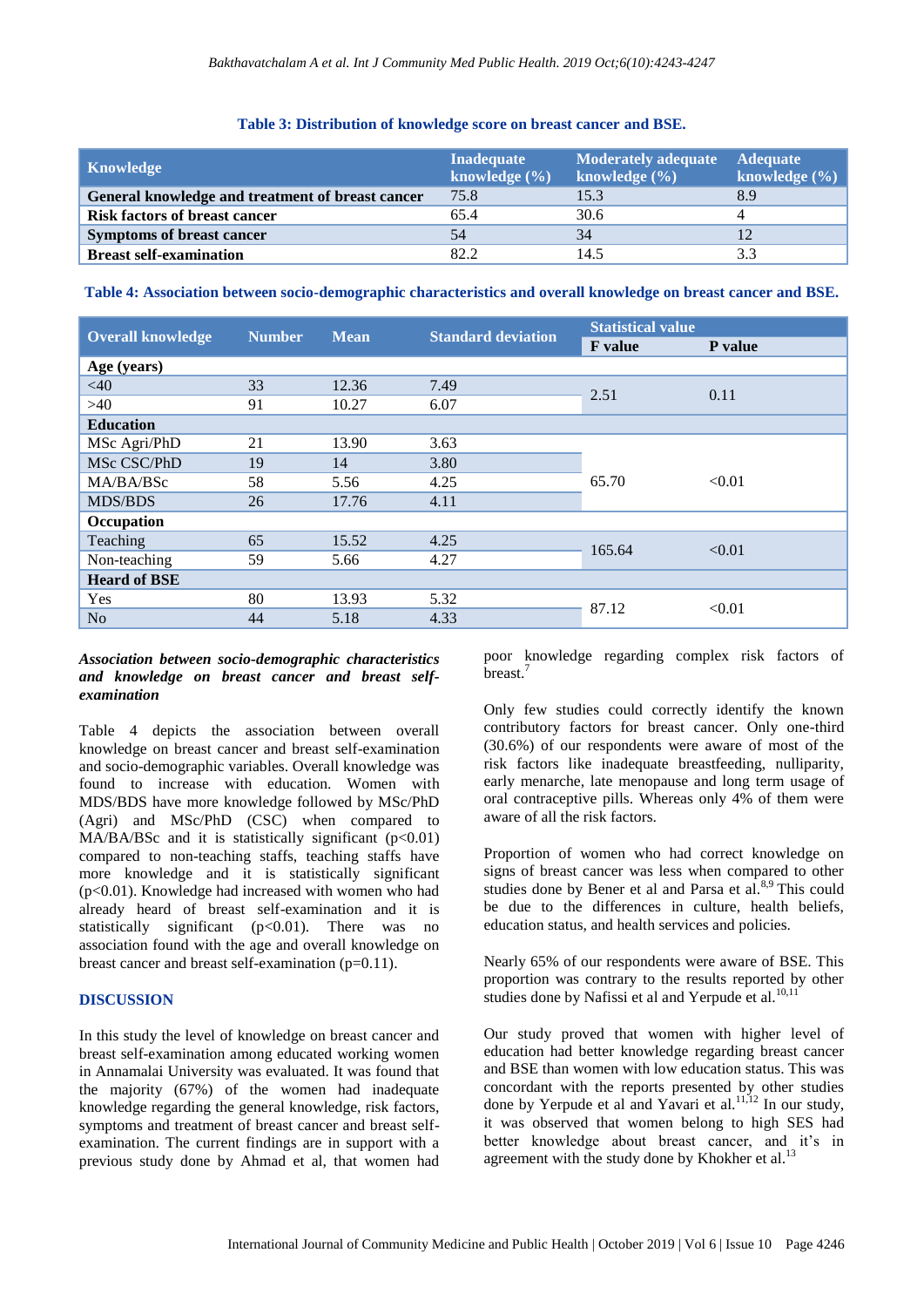#### **Table 3: Distribution of knowledge score on breast cancer and BSE.**

| Knowledge                                        | <b>Inadequate</b><br>knowledge $(\% )$ | <b>Moderately adequate</b><br>knowledge $(\% )$ | <b>Adequate</b><br>knowledge $(\% )$ |
|--------------------------------------------------|----------------------------------------|-------------------------------------------------|--------------------------------------|
| General knowledge and treatment of breast cancer | 75.8                                   | 15.3                                            | 8.9                                  |
| <b>Risk factors of breast cancer</b>             | 65.4                                   | 30.6                                            |                                      |
| <b>Symptoms of breast cancer</b>                 | 54                                     | 34                                              |                                      |
| <b>Breast self-examination</b>                   | 82.2                                   | 14.5                                            |                                      |

**Table 4: Association between socio-demographic characteristics and overall knowledge on breast cancer and BSE.**

| <b>Overall knowledge</b> | <b>Number</b> | <b>Mean</b> | <b>Standard deviation</b> | <b>Statistical value</b> |         |
|--------------------------|---------------|-------------|---------------------------|--------------------------|---------|
|                          |               |             |                           | <b>F</b> value           | P value |
| Age (years)              |               |             |                           |                          |         |
| <40                      | 33            | 12.36       | 7.49                      | 2.51                     | 0.11    |
| >40                      | 91            | 10.27       | 6.07                      |                          |         |
| <b>Education</b>         |               |             |                           |                          |         |
| MSc Agri/PhD             | 21            | 13.90       | 3.63                      |                          |         |
| MSc CSC/PhD              | 19            | 14          | 3.80                      |                          |         |
| MA/BA/BSc                | 58            | 5.56        | 4.25                      | 65.70                    | < 0.01  |
| <b>MDS/BDS</b>           | 26            | 17.76       | 4.11                      |                          |         |
| Occupation               |               |             |                           |                          |         |
| Teaching                 | 65            | 15.52       | 4.25                      | 165.64                   | < 0.01  |
| Non-teaching             | 59            | 5.66        | 4.27                      |                          |         |
| <b>Heard of BSE</b>      |               |             |                           |                          |         |
| Yes                      | 80            | 13.93       | 5.32                      | 87.12                    | < 0.01  |
| N <sub>o</sub>           | 44            | 5.18        | 4.33                      |                          |         |

# *Association between socio-demographic characteristics and knowledge on breast cancer and breast selfexamination*

Table 4 depicts the association between overall knowledge on breast cancer and breast self-examination and socio-demographic variables. Overall knowledge was found to increase with education. Women with MDS/BDS have more knowledge followed by MSc/PhD (Agri) and MSc/PhD (CSC) when compared to  $MA/BA/BSc$  and it is statistically significant (p<0.01) compared to non-teaching staffs, teaching staffs have more knowledge and it is statistically significant (p<0.01). Knowledge had increased with women who had already heard of breast self-examination and it is statistically significant  $(p<0.01)$ . There was no association found with the age and overall knowledge on breast cancer and breast self-examination (p=0.11).

# **DISCUSSION**

In this study the level of knowledge on breast cancer and breast self-examination among educated working women in Annamalai University was evaluated. It was found that the majority (67%) of the women had inadequate knowledge regarding the general knowledge, risk factors, symptoms and treatment of breast cancer and breast selfexamination. The current findings are in support with a previous study done by Ahmad et al, that women had poor knowledge regarding complex risk factors of breast.<sup>7</sup>

Only few studies could correctly identify the known contributory factors for breast cancer. Only one-third (30.6%) of our respondents were aware of most of the risk factors like inadequate breastfeeding, nulliparity, early menarche, late menopause and long term usage of oral contraceptive pills. Whereas only 4% of them were aware of all the risk factors.

Proportion of women who had correct knowledge on signs of breast cancer was less when compared to other studies done by Bener et al and Parsa et al.<sup>8,9</sup> This could be due to the differences in culture, health beliefs, education status, and health services and policies.

Nearly 65% of our respondents were aware of BSE. This proportion was contrary to the results reported by other studies done by Nafissi et al and Yerpude et al.<sup>10,11</sup>

Our study proved that women with higher level of education had better knowledge regarding breast cancer and BSE than women with low education status. This was concordant with the reports presented by other studies done by Yerpude et al and Yavari et al.<sup>11,12</sup> In our study, it was observed that women belong to high SES had better knowledge about breast cancer, and it's in agreement with the study done by Khokher et al.<sup>13</sup>